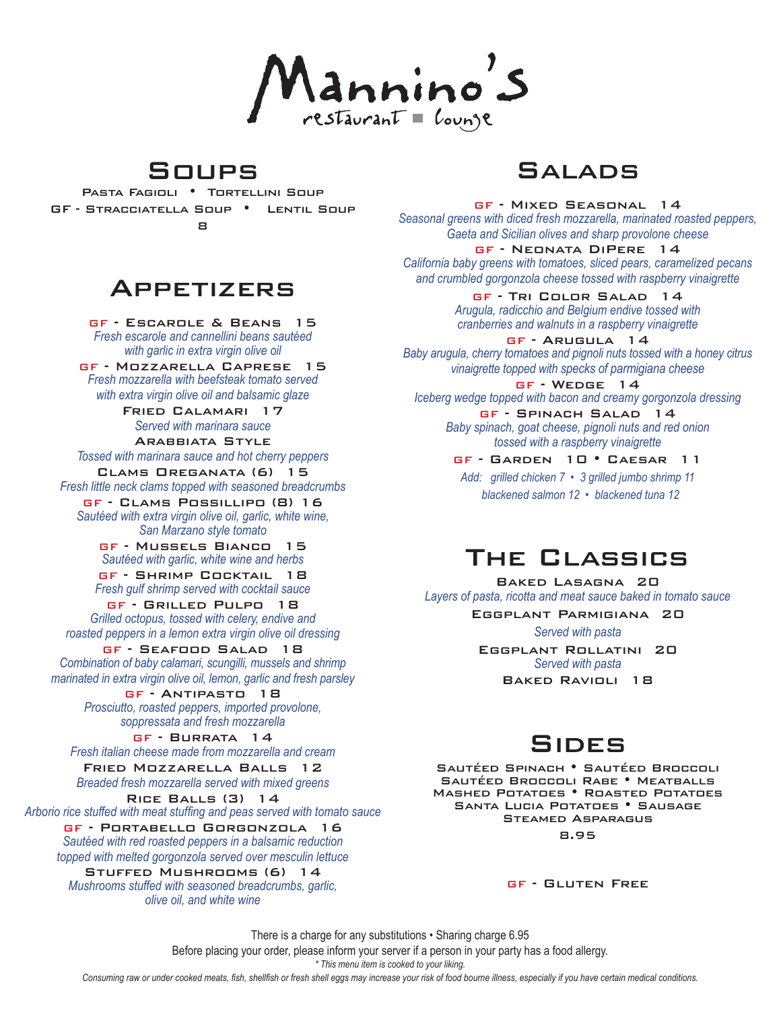lannino's

### Soups

Pasta Fagioli•Tortellini Soup GF - Stracciatella Soup•Lentil Soup 8

### Appetizers

GF - Escarole & Beans 15 *Fresh escarole and cannellini beans sautéed with garlic in extra virgin olive oil*

GF - Mozzarella Caprese 15 *Fresh mozzarella with beefsteak tomato served with extra virgin olive oil and balsamic glaze*

Fried Calamari 17 *Served with marinara sauce*

Arabbiata Style *Tossed with marinara sauce and hot cherry peppers*

Clams Oreganata (6) 15 *Fresh little neck clams topped with seasoned breadcrumbs*

GF - Clams Possillipo (8) 16 *Sautéed with extra virgin olive oil, garlic, white wine, San Marzano style tomato*

GF - Mussels Bianco 15 *Sautéed with garlic, white wine and herbs* GF - Shrimp Cocktail 18

*Fresh gulf shrimp served with cocktail sauce* GF - Grilled Pulpo 18

*Grilled octopus, tossed with celery, endive and roasted peppers in a lemon extra virgin olive oil dressing*

GF - Seafood Salad 18 *Combination of baby calamari, scungilli, mussels and shrimp marinated in extra virgin olive oil, lemon, garlic and fresh parsley*

GF - Antipasto 18 *Prosciutto, roasted peppers, imported provolone, soppressata and fresh mozzarella*

GF - Burrata 14  *Fresh italian cheese made from mozzarella and cream*

Fried Mozzarella Balls 12 *Breaded fresh mozzarella served with mixed greens*

Rice Balls (3) 14

Arborio rice stuffed with meat stuffing and peas served with tomato sauce

GF - Portabello Gorgonzola 16  *Sautéed with red roasted peppers in a balsamic reduction topped with melted gorgonzola served over mesculin lettuce*

Stuffed Mushrooms (6) 14  *Mushrooms stuffed with seasoned breadcrumbs, garlic, olive oil, and white wine*

### Salads

GF - Mixed Seasonal 14 *Seasonal greens with diced fresh mozzarella, marinated roasted peppers, Gaeta and Sicilian olives and sharp provolone cheese*

GF - Neonata DiPere 14 *California baby greens with tomatoes, sliced pears, caramelized pecans and crumbled gorgonzola cheese tossed with raspberry vinaigrette*

> GF - Tri Color Salad 14  *Arugula, radicchio and Belgium endive tossed with cranberries and walnuts in a raspberry vinaigrette*

GF - Arugula 14 *Baby arugula, cherry tomatoes and pignoli nuts tossed with a honey citrus vinaigrette topped with specks of parmigiana cheese*

GF - Wedge 14  *Iceberg wedge topped with bacon and creamy gorgonzola dressing*

GF - Spinach Salad 14  *Baby spinach, goat cheese, pignoli nuts and red onion tossed with a raspberry vinaigrette*

GF - Garden 10 • Caesar 11 *Add: grilled chicken 7 • 3 grilled jumbo shrimp 11 blackened salmon 12 • blackened tuna 12*

## The Classics

Baked Lasagna 20 *Layers of pasta, ricotta and meat sauce baked in tomato sauce*

Eggplant Parmigiana 20

*Served with pasta*

Eggplant Rollatini 20 *Served with pasta* Baked Ravioli 18

## Sides

Sautéed Spinach • Sautéed Broccoli Sautéed Broccoli Rabe • Meatballs Mashed Potatoes • Roasted Potatoes Santa Lucia Potatoes • Sausage Steamed Asparagus 8.95

GF - Gluten Free

There is a charge for any substitutions • Sharing charge 6.95

Before placing your order, please inform your server if a person in your party has a food allergy.

*\* This menu item is cooked to your liking.* 

Consuming raw or under cooked meats, fish, shellfish or fresh shell eggs may increase your risk of food bourne illness, especially if you have certain medical conditions.